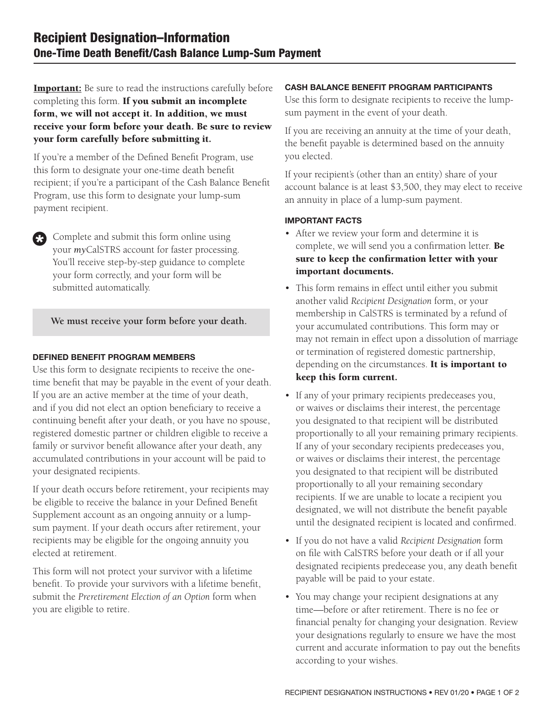**Important:** Be sure to read the instructions carefully before completing this form. If you submit an incomplete form, we will not accept it. In addition, we must receive your form before your death. Be sure to review your form carefully before submitting it.

If you're a member of the Defined Benefit Program, use this form to designate your one-time death benefit recipient; if you're a participant of the Cash Balance Benefit Program, use this form to designate your lump-sum payment recipient.

Complete and submit this form online using your *my*CalSTRS account for faster processing. You'll receive step-by-step guidance to complete your form correctly, and your form will be submitted automatically.

#### **We must receive your form before your death.**

#### DEFINED BENEFIT PROGRAM MEMBERS

63

Use this form to designate recipients to receive the onetime benefit that may be payable in the event of your death. If you are an active member at the time of your death, and if you did not elect an option beneficiary to receive a continuing benefit after your death, or you have no spouse, registered domestic partner or children eligible to receive a family or survivor benefit allowance after your death, any accumulated contributions in your account will be paid to your designated recipients.

If your death occurs before retirement, your recipients may be eligible to receive the balance in your Defined Benefit Supplement account as an ongoing annuity or a lumpsum payment. If your death occurs after retirement, your recipients may be eligible for the ongoing annuity you elected at retirement.

This form will not protect your survivor with a lifetime benefit. To provide your survivors with a lifetime benefit, submit the *Preretirement Election of an Option* form when you are eligible to retire.

#### CASH BALANCE BENEFIT PROGRAM PARTICIPANTS

Use this form to designate recipients to receive the lumpsum payment in the event of your death.

If you are receiving an annuity at the time of your death, the benefit payable is determined based on the annuity you elected.

If your recipient's (other than an entity) share of your account balance is at least \$3,500, they may elect to receive an annuity in place of a lump-sum payment.

#### IMPORTANT FACTS

- After we review your form and determine it is complete, we will send you a confirmation letter. Be sure to keep the confirmation letter with your important documents.
- This form remains in effect until either you submit another valid *Recipient Designation* form, or your membership in CalSTRS is terminated by a refund of your accumulated contributions. This form may or may not remain in effect upon a dissolution of marriage or termination of registered domestic partnership, depending on the circumstances. It is important to keep this form current.
- If any of your primary recipients predeceases you, or waives or disclaims their interest, the percentage you designated to that recipient will be distributed proportionally to all your remaining primary recipients. If any of your secondary recipients predeceases you, or waives or disclaims their interest, the percentage you designated to that recipient will be distributed proportionally to all your remaining secondary recipients. If we are unable to locate a recipient you designated, we will not distribute the benefit payable until the designated recipient is located and confirmed.
- If you do not have a valid *Recipient Designation* form on file with CalSTRS before your death or if all your designated recipients predecease you, any death benefit payable will be paid to your estate.
- You may change your recipient designations at any time—before or after retirement. There is no fee or financial penalty for changing your designation. Review your designations regularly to ensure we have the most current and accurate information to pay out the benefits according to your wishes.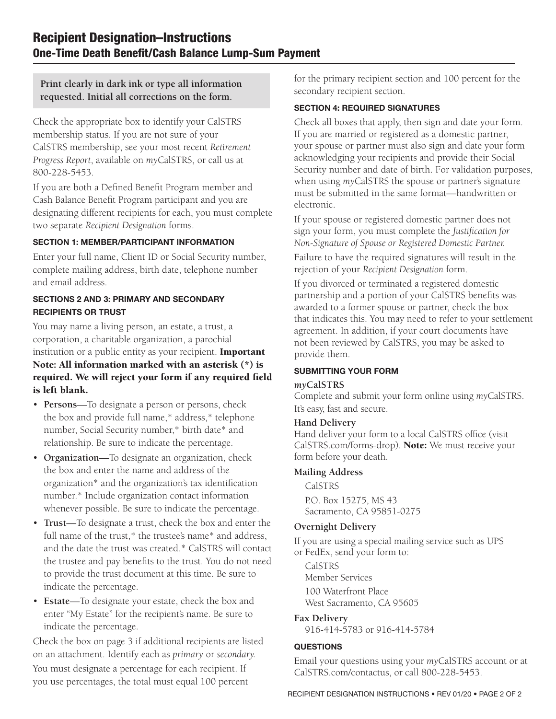**Print clearly in dark ink or type all information requested. Initial all corrections on the form.**

Check the appropriate box to identify your CalSTRS membership status. If you are not sure of your CalSTRS membership, see your most recent *Retirement Progress Report*, available on *my*CalSTRS, or call us at 800-228-5453.

If you are both a Defined Benefit Program member and Cash Balance Benefit Program participant and you are designating different recipients for each, you must complete two separate *Recipient Designation* forms.

#### SECTION 1: MEMBER/PARTICIPANT INFORMATION

Enter your full name, Client ID or Social Security number, complete mailing address, birth date, telephone number and email address.

#### SECTIONS 2 AND 3: PRIMARY AND SECONDARY RECIPIENTS OR TRUST

You may name a living person, an estate, a trust, a corporation, a charitable organization, a parochial institution or a public entity as your recipient. **Important** Note: All information marked with an asterisk (\*) is required. We will reject your form if any required field is left blank.

- **Persons**—To designate a person or persons, check the box and provide full name,\* address,\* telephone number, Social Security number,\* birth date\* and relationship. Be sure to indicate the percentage.
- **Organization**—To designate an organization, check the box and enter the name and address of the organization\* and the organization's tax identification number.\* Include organization contact information whenever possible. Be sure to indicate the percentage.
- **Trust**—To designate a trust, check the box and enter the full name of the trust,\* the trustee's name\* and address, and the date the trust was created.\* CalSTRS will contact the trustee and pay benefits to the trust. You do not need to provide the trust document at this time. Be sure to indicate the percentage.
- **Estate**—To designate your estate, check the box and enter "My Estate" for the recipient's name. Be sure to indicate the percentage.

Check the box on page 3 if additional recipients are listed on an attachment. Identify each as *primary* or *secondary.*

You must designate a percentage for each recipient. If you use percentages, the total must equal 100 percent for the primary recipient section and 100 percent for the secondary recipient section.

#### SECTION 4: REQUIRED SIGNATURES

Check all boxes that apply, then sign and date your form. If you are married or registered as a domestic partner, your spouse or partner must also sign and date your form acknowledging your recipients and provide their Social Security number and date of birth. For validation purposes, when using *my*CalSTRS the spouse or partner's signature must be submitted in the same format—handwritten or electronic.

If your spouse or registered domestic partner does not sign your form, you must complete the *Justification for Non-Signature of Spouse or Registered Domestic Partner.*

Failure to have the required signatures will result in the rejection of your *Recipient Designation* form.

If you divorced or terminated a registered domestic partnership and a portion of your CalSTRS benefits was awarded to a former spouse or partner, check the box that indicates this. You may need to refer to your settlement agreement. In addition, if your court documents have not been reviewed by CalSTRS, you may be asked to provide them.

#### SUBMITTING YOUR FORM

### *my***CalSTRS**

Complete and submit your form online using *my*CalSTRS. It's easy, fast and secure.

#### **Hand Delivery**

Hand deliver your form to a local CalSTRS office (visit CalSTRS.com/forms-drop). Note: We must receive your form before your death.

#### **Mailing Address**

 CalSTRS P.O. Box 15275, MS 43 Sacramento, CA 95851-0275

### **Overnight Delivery**

If you are using a special mailing service such as UPS or FedEx, send your form to:

**CalSTRS** Member Services 100 Waterfront Place West Sacramento, CA 95605

### **Fax Delivery**

916-414-5783 or 916-414-5784

### **QUESTIONS**

Email your questions using your *my*CalSTRS account or at CalSTRS.com/contactus, or call 800-228-5453.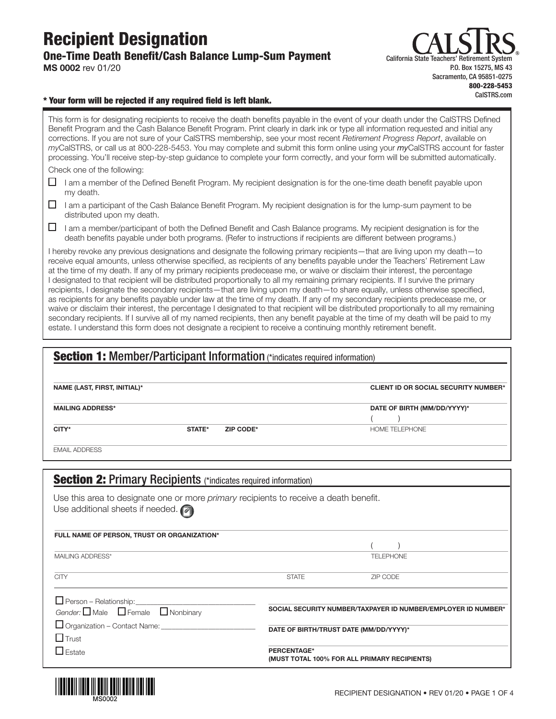### Recipient Designation One-Time Death Benefit/Cash Balance Lump-Sum Payment MS 0002 rev 01/20



#### \* Your form will be rejected if any required field is left blank.

This form is for designating recipients to receive the death benefits payable in the event of your death under the CalSTRS Defined Benefit Program and the Cash Balance Benefit Program. Print clearly in dark ink or type all information requested and initial any corrections. If you are not sure of your CalSTRS membership, see your most recent Retirement Progress Report, available on myCalSTRS, or call us at 800-228-5453. You may complete and submit this form online using your myCalSTRS account for faster processing. You'll receive step-by-step guidance to complete your form correctly, and your form will be submitted automatically. Check one of the following:

 $\Box$  I am a member of the Defined Benefit Program. My recipient designation is for the one-time death benefit payable upon my death.

 $\Box$  I am a participant of the Cash Balance Benefit Program. My recipient designation is for the lump-sum payment to be distributed upon my death.

I am a member/participant of both the Defined Benefit and Cash Balance programs. My recipient designation is for the death benefits payable under both programs. (Refer to instructions if recipients are different between programs.)

I hereby revoke any previous designations and designate the following primary recipients—that are living upon my death—to receive equal amounts, unless otherwise specified, as recipients of any benefits payable under the Teachers' Retirement Law at the time of my death. If any of my primary recipients predecease me, or waive or disclaim their interest, the percentage I designated to that recipient will be distributed proportionally to all my remaining primary recipients. If I survive the primary recipients, I designate the secondary recipients—that are living upon my death—to share equally, unless otherwise specified, as recipients for any benefits payable under law at the time of my death. If any of my secondary recipients predecease me, or waive or disclaim their interest, the percentage I designated to that recipient will be distributed proportionally to all my remaining secondary recipients. If I survive all of my named recipients, then any benefit payable at the time of my death will be paid to my estate. I understand this form does not designate a recipient to receive a continuing monthly retirement benefit.

|                                                 | <b>Section 1:</b> Member/Participant Information (*indicates required information)    |              |                                                               |  |
|-------------------------------------------------|---------------------------------------------------------------------------------------|--------------|---------------------------------------------------------------|--|
| NAME (LAST, FIRST, INITIAL)*                    |                                                                                       |              | <b>CLIENT ID OR SOCIAL SECURITY NUMBER*</b>                   |  |
| <b>MAILING ADDRESS*</b>                         |                                                                                       |              | DATE OF BIRTH (MM/DD/YYYY)*                                   |  |
| CITY*                                           | STATE*<br>ZIP CODE*                                                                   |              | HOME TELEPHONE                                                |  |
| <b>EMAIL ADDRESS</b>                            |                                                                                       |              |                                                               |  |
|                                                 |                                                                                       |              |                                                               |  |
|                                                 | <b>Section 2: Primary Recipients (*indicates required information)</b>                |              |                                                               |  |
| Use additional sheets if needed. $\blacksquare$ | Use this area to designate one or more primary recipients to receive a death benefit. |              |                                                               |  |
|                                                 | FULL NAME OF PERSON, TRUST OR ORGANIZATION*                                           |              |                                                               |  |
| MAILING ADDRESS*                                |                                                                                       |              | <b>TELEPHONE</b>                                              |  |
| <b>CITY</b>                                     |                                                                                       | <b>STATE</b> | ZIP CODE                                                      |  |
| $\Box$ Person – Relationship:                   |                                                                                       |              |                                                               |  |
|                                                 | Gender: $\Box$ Male $\Box$ Female $\Box$ Nonbinary                                    |              | SOCIAL SECURITY NUMBER/TAXPAYER ID NUMBER/EMPLOYER ID NUMBER* |  |
|                                                 | Organization - Contact Name: ____________________________                             |              | DATE OF BIRTH/TRUST DATE (MM/DD/YYYY)*                        |  |
| $\Box$ Trust                                    |                                                                                       |              |                                                               |  |
| $\Box$ Estate                                   |                                                                                       | PERCENTAGE*  | (MUST TOTAL 100% FOR ALL PRIMARY RECIPIENTS)                  |  |

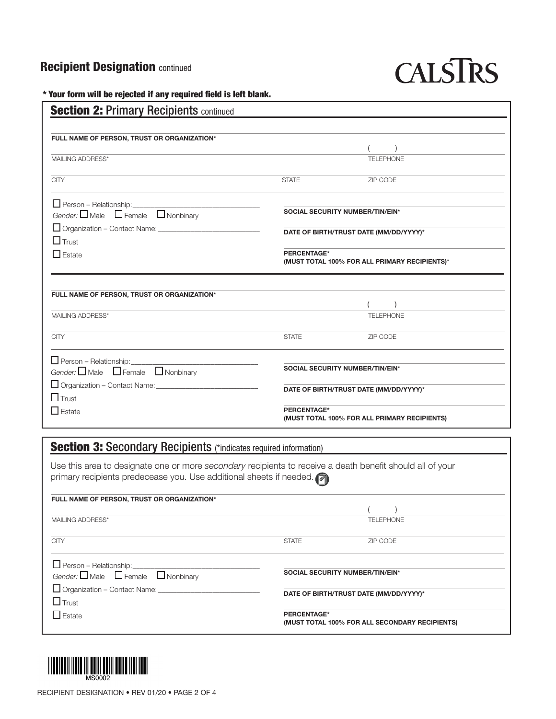# **Recipient Designation continued**

# **CALSTRS**

\* Your form will be rejected if any required field is left blank.

| <b>Section 2: Primary Recipients continued</b>                                                            |                                                                     |                                              |  |
|-----------------------------------------------------------------------------------------------------------|---------------------------------------------------------------------|----------------------------------------------|--|
|                                                                                                           |                                                                     |                                              |  |
| FULL NAME OF PERSON, TRUST OR ORGANIZATION*                                                               |                                                                     | $\lambda$                                    |  |
| MAILING ADDRESS*                                                                                          |                                                                     | <b>TELEPHONE</b>                             |  |
|                                                                                                           |                                                                     |                                              |  |
| <b>CITY</b>                                                                                               | <b>STATE</b>                                                        | ZIP CODE                                     |  |
| $\Box$ Person – Relationship:                                                                             |                                                                     |                                              |  |
| Gender: $\Box$ Male $\Box$ Female $\Box$ Nonbinary                                                        |                                                                     | SOCIAL SECURITY NUMBER/TIN/EIN*              |  |
|                                                                                                           | DATE OF BIRTH/TRUST DATE (MM/DD/YYYY)*                              |                                              |  |
| $\Box$ Trust                                                                                              |                                                                     |                                              |  |
| $\Box$ Estate                                                                                             | <b>PERCENTAGE*</b><br>(MUST TOTAL 100% FOR ALL PRIMARY RECIPIENTS)* |                                              |  |
|                                                                                                           |                                                                     |                                              |  |
|                                                                                                           |                                                                     |                                              |  |
| FULL NAME OF PERSON, TRUST OR ORGANIZATION*                                                               |                                                                     |                                              |  |
| MAILING ADDRESS*                                                                                          |                                                                     | <b>TELEPHONE</b>                             |  |
|                                                                                                           |                                                                     |                                              |  |
| <b>CITY</b>                                                                                               | <b>STATE</b>                                                        | ZIP CODE                                     |  |
| $\Box$ Person – Relationship:                                                                             |                                                                     |                                              |  |
| Gender: $\Box$ Male $\Box$ Female $\Box$ Nonbinary                                                        | SOCIAL SECURITY NUMBER/TIN/EIN*                                     |                                              |  |
|                                                                                                           |                                                                     |                                              |  |
| $\Box$ Trust                                                                                              |                                                                     | DATE OF BIRTH/TRUST DATE (MM/DD/YYYY)*       |  |
| $\Box$ Estate                                                                                             | <b>PERCENTAGE*</b>                                                  |                                              |  |
|                                                                                                           |                                                                     | (MUST TOTAL 100% FOR ALL PRIMARY RECIPIENTS) |  |
|                                                                                                           |                                                                     |                                              |  |
| <b>Section 3: Secondary Recipients (*indicates required information)</b>                                  |                                                                     |                                              |  |
| Use this area to designate one or more secondary recipients to receive a death benefit should all of your |                                                                     |                                              |  |
| primary recipients predecease you. Use additional sheets if needed.                                       |                                                                     |                                              |  |
| FULL NAME OF PERSON, TRUST OR ORGANIZATION*                                                               |                                                                     |                                              |  |
|                                                                                                           |                                                                     |                                              |  |
| MAILING ADDRESS*                                                                                          |                                                                     | <b>TELEPHONE</b>                             |  |
| <b>CITY</b>                                                                                               | <b>STATE</b>                                                        | ZIP CODE                                     |  |
|                                                                                                           |                                                                     |                                              |  |
| $\Box$ Person – Relationship:                                                                             |                                                                     |                                              |  |
| Gender: $\Box$ Male<br>$\Box$ Female<br>$\Box$ Nonbinary                                                  |                                                                     | SOCIAL SECURITY NUMBER/TIN/EIN*              |  |

 $\Box$  Organization – Contact Name:  $\Box$  Trust

 $\Box$  Estate

DATE OF BIRTH/TRUST DATE (MM/DD/YYYY)\*

PERCENTAGE\* (MUST TOTAL 100% FOR ALL SECONDARY RECIPIENTS)

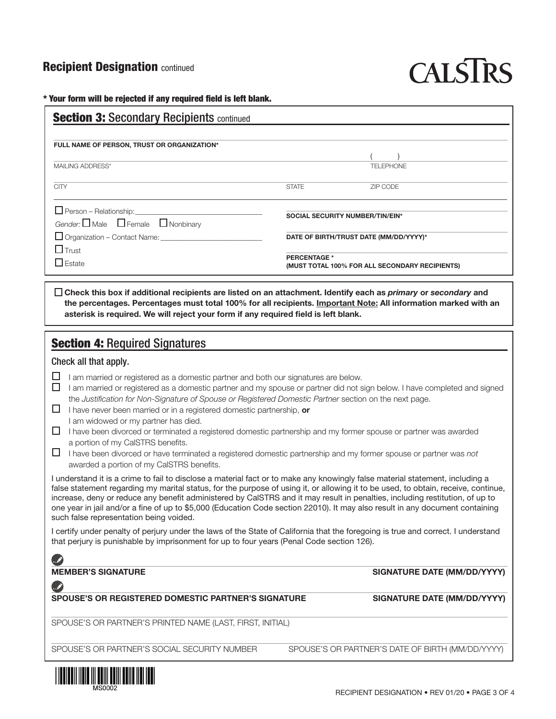## **Recipient Designation continued**

# CALSIRS

\* Your form will be rejected if any required field is left blank.

| FULL NAME OF PERSON, TRUST OR ORGANIZATION*                 |              |                                                                       |  |
|-------------------------------------------------------------|--------------|-----------------------------------------------------------------------|--|
|                                                             |              |                                                                       |  |
| MAILING ADDRESS*                                            |              | TELEPHONE                                                             |  |
| <b>CITY</b>                                                 | <b>STATE</b> | ZIP CODE                                                              |  |
| $\Box$ Person – Relationship:                               |              | SOCIAL SECURITY NUMBER/TIN/EIN*                                       |  |
| Gender: $\square$ Male $\square$ Female $\square$ Nonbinary |              |                                                                       |  |
| $\Box$ Organization – Contact Name:                         |              | DATE OF BIRTH/TRUST DATE (MM/DD/YYYY)*                                |  |
| $\Box$ Trust                                                |              |                                                                       |  |
| $\Box$ Estate                                               |              | <b>PERCENTAGE *</b><br>(MUST TOTAL 100% FOR ALL SECONDARY RECIPIENTS) |  |

# **Section 4: Required Signatures**

#### Check all that apply.

 $\Box$  I am married or registered as a domestic partner and both our signatures are below.

asterisk is required. We will reject your form if any required field is left blank.

- $\Box$  I am married or registered as a domestic partner and my spouse or partner did not sign below. I have completed and signed the Justification for Non-Signature of Spouse or Registered Domestic Partner section on the next page.
- $\Box$  I have never been married or in a registered domestic partnership, or
	- I am widowed or my partner has died.
- $\Box$  I have been divorced or terminated a registered domestic partnership and my former spouse or partner was awarded a portion of my CalSTRS benefits.
- $\Box$  I have been divorced or have terminated a registered domestic partnership and my former spouse or partner was not awarded a portion of my CalSTRS benefits.

I understand it is a crime to fail to disclose a material fact or to make any knowingly false material statement, including a false statement regarding my marital status, for the purpose of using it, or allowing it to be used, to obtain, receive, continue, increase, deny or reduce any benefit administered by CalSTRS and it may result in penalties, including restitution, of up to one year in jail and/or a fine of up to \$5,000 (Education Code section 22010). It may also result in any document containing such false representation being voided.

I certify under penalty of perjury under the laws of the State of California that the foregoing is true and correct. I understand that perjury is punishable by imprisonment for up to four years (Penal Code section 126).

 $\mathscr{A}$ 

#### SPOUSE'S OR REGISTERED DOMESTIC PARTNER'S SIGNATURE SIGNATURE SIGNATURE DATE (MM/DD/YYYY)

SIGNATURE DATE (MM/DD/YYYY)

SPOUSE'S OR PARTNER'S PRINTED NAME (LAST, FIRST, INITIAL)

SPOUSE'S OR PARTNER'S SOCIAL SECURITY NUMBER SPOUSE'S OR PARTNER'S DATE OF BIRTH (MM/DD/YYYY)